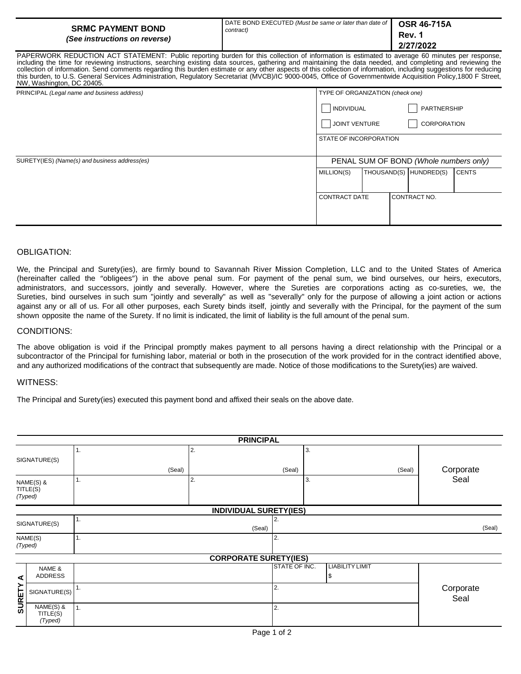| <b>SRMC PAYMENT BOND</b>                                                                                                                                                                                                                                              | DATE BOND EXECUTED (Must be same or later than date of   OSR 46-715A | Rev. 1    |
|-----------------------------------------------------------------------------------------------------------------------------------------------------------------------------------------------------------------------------------------------------------------------|----------------------------------------------------------------------|-----------|
| (See instructions on reverse)                                                                                                                                                                                                                                         | contract)                                                            | 2/27/2022 |
| PAPERWORK REDUCTION ACT STATEMENT: Public reporting burden for this collection of information is estimated to average 60 minutes per response,<br>kakulka daa farsiinka kamundaa aasekka sidda dan amees sahadka aad makakaka dan saadad aad famelahas aad wulanka da |                                                                      |           |

including the time for reviewing instructions, searching existing data sources, gathering and maintaining the data needed, and completing and reviewing the collection of information. Send comments regarding this burden estimate or any other aspects of this collection of information, including suggestions for reducing this burden, to U.S. General Services Administration, Regulatory Secretariat (MVCB)/IC 9000-0045, Office of Governmentwide Acquisition Policy,1800 F Street, NW, Washington, DC 20405.

| PRINCIPAL (Legal name and business address)   |                                      | TYPE OF ORGANIZATION (check one)       |  |                        |              |  |
|-----------------------------------------------|--------------------------------------|----------------------------------------|--|------------------------|--------------|--|
|                                               | INDIVIDUAL                           |                                        |  | PARTNERSHIP            |              |  |
|                                               | CORPORATION<br><b>JOINT VENTURE</b>  |                                        |  |                        |              |  |
|                                               | STATE OF INCORPORATION               |                                        |  |                        |              |  |
| SURETY(IES) (Name(s) and business address(es) |                                      | PENAL SUM OF BOND (Whole numbers only) |  |                        |              |  |
|                                               | MILLION(S)                           |                                        |  | THOUSAND(S) HUNDRED(S) | <b>CENTS</b> |  |
|                                               | CONTRACT NO.<br><b>CONTRACT DATE</b> |                                        |  |                        |              |  |

## OBLIGATION:

We, the Principal and Surety(ies), are firmly bound to Savannah River Mission Completion, LLC and to the United States of America (hereinafter called the "obligees") in the above penal sum. For payment of the penal sum, we bind ourselves, our heirs, executors, administrators, and successors, jointly and severally. However, where the Sureties are corporations acting as co-sureties, we, the Sureties, bind ourselves in such sum "jointly and severally" as well as "severally" only for the purpose of allowing a joint action or actions against any or all of us. For all other purposes, each Surety binds itself, jointly and severally with the Principal, for the payment of the sum shown opposite the name of the Surety. If no limit is indicated, the limit of liability is the full amount of the penal sum.

## CONDITIONS:

The above obligation is void if the Principal promptly makes payment to all persons having a direct relationship with the Principal or a subcontractor of the Principal for furnishing labor, material or both in the prosecution of the work provided for in the contract identified above, and any authorized modifications of the contract that subsequently are made. Notice of those modifications to the Surety(ies) are waived.

## WITNESS:

The Principal and Surety(ies) executed this payment bond and affixed their seals on the above date.

|                                  |                                  |    |        |              | <b>PRINCIPAL</b>             |               |              |                              |           |                   |
|----------------------------------|----------------------------------|----|--------|--------------|------------------------------|---------------|--------------|------------------------------|-----------|-------------------|
| SIGNATURE(S)                     |                                  | 1. | (Seal) | 2.<br>(Seal) |                              |               | 3.<br>(Seal) |                              | Corporate |                   |
| NAME(S) &<br>TITLE(S)<br>(Typed) |                                  | 1. |        | 2.           |                              |               | 3.           |                              |           | Seal              |
|                                  | <b>INDIVIDUAL SURETY(IES)</b>    |    |        |              |                              |               |              |                              |           |                   |
| 1.<br>SIGNATURE(S)               |                                  |    |        | (Seal)       | (Seal)                       |               |              |                              |           |                   |
| NAME(S)<br>(Typed)               |                                  | 1. |        |              |                              | 2.            |              |                              |           |                   |
|                                  |                                  |    |        |              | <b>CORPORATE SURETY(IES)</b> |               |              |                              |           |                   |
| ⋖                                | NAME &<br>ADDRESS                |    |        |              |                              | STATE OF INC. |              | <b>LIABILITY LIMIT</b><br>\$ |           |                   |
| <b>SURETY</b>                    | SIGNATURE(S)                     | 1. |        |              |                              | 2.            |              |                              |           | Corporate<br>Seal |
|                                  | NAME(S) &<br>TITLE(S)<br>(Typed) | 1. |        |              |                              | 2.            |              |                              |           |                   |